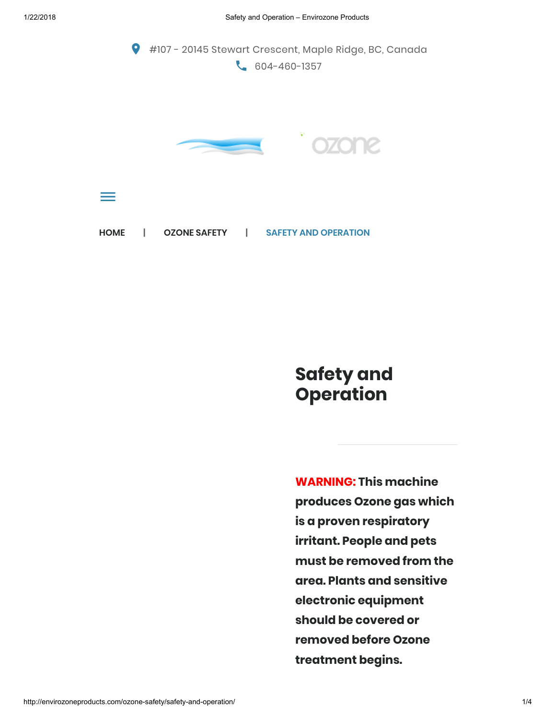

## Safety and **Operation**

WARNING: This machine produces Ozone gas which is a proven respiratory irritant. People and pets must be removed from the area. Plants and sensitive electronic equipment should be covered or removed before Ozone treatment begins.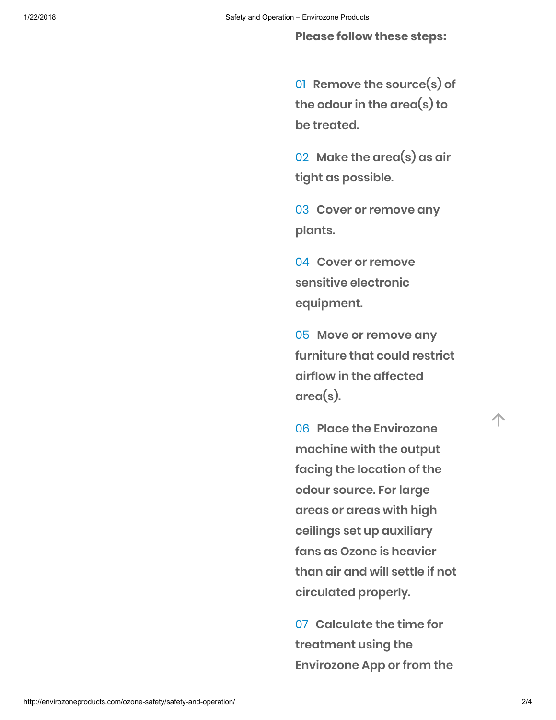Please follow these steps:

01 Remove the source(s) of the odour in the area(s) to be treated.

02 Make the area(s) as air tight as possible.

03 Cover or remove any plants.

04 Cover or remove sensitive electronic equipment.

05 Move or remove any furniture that could restrict airflow in the affected area(s).

06 Place the Envirozone machine with the output facing the location of the odour source. For large areas or areas with high ceilings set up auxiliary fans as Ozone is heavier than air and will settle if not circulated properly.

07 Calculate the time for treatment using the Envirozone App or from the 个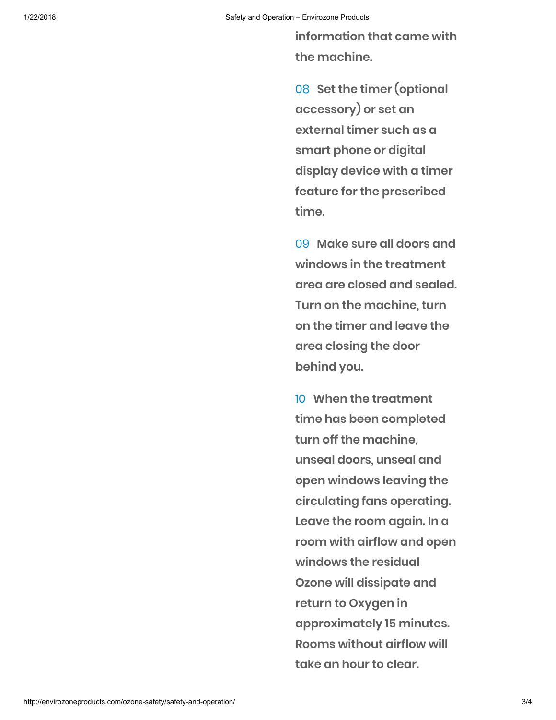information that came with the machine.

08 Set the timer (optional accessory) or set an external timer such as a smart phone or digital display device with a timer feature for the prescribed time.

09 Make sure all doors and windows in the treatment area are closed and sealed. Turn on the machine, turn on the timer and leave the area closing the door behind you.

10 When the treatment time has been completed turn off the machine, unseal doors, unseal and open windows leaving the circulating fans operating. Leave the room again. In a room with airflow and open windows the residual Ozone will dissipate and return to Oxygen in approximately 15 minutes. Rooms without airflow will take an hour to clear.